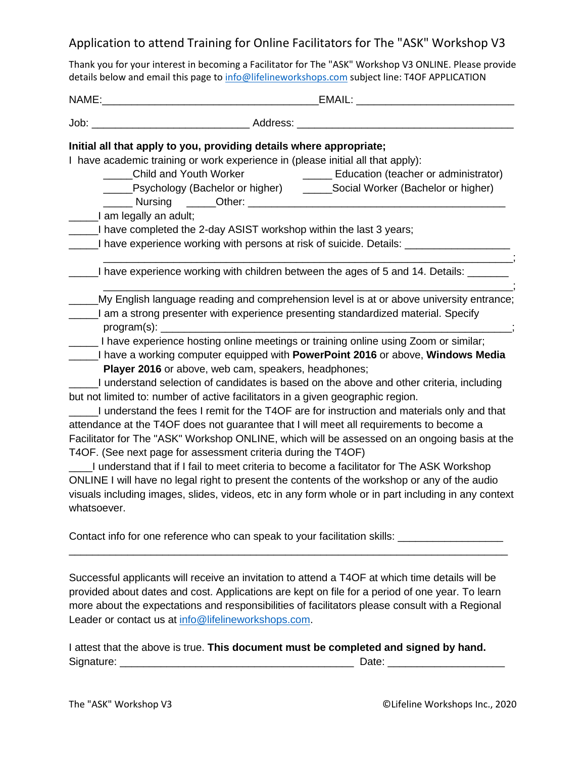## Application to attend Training for Online Facilitators for The "ASK" Workshop V3

Thank you for your interest in becoming a Facilitator for The "ASK" Workshop V3 ONLINE. Please provide details below and email this page to [info@lifelineworkshops.com](mailto:info@lifelineworkshops.com) subject line: T4OF APPLICATION

| NAME:       | EMAIL:                                                                                                                                                                                                                                                                                                                                                                                                                                                                                                                                                                                                                                                                                                                                                                                                                                                                                                                                                                                                                                                                                |
|-------------|---------------------------------------------------------------------------------------------------------------------------------------------------------------------------------------------------------------------------------------------------------------------------------------------------------------------------------------------------------------------------------------------------------------------------------------------------------------------------------------------------------------------------------------------------------------------------------------------------------------------------------------------------------------------------------------------------------------------------------------------------------------------------------------------------------------------------------------------------------------------------------------------------------------------------------------------------------------------------------------------------------------------------------------------------------------------------------------|
|             |                                                                                                                                                                                                                                                                                                                                                                                                                                                                                                                                                                                                                                                                                                                                                                                                                                                                                                                                                                                                                                                                                       |
|             | Initial all that apply to you, providing details where appropriate;<br>I have academic training or work experience in (please initial all that apply):<br><b>Child and Youth Worker</b><br><b>Education (teacher or administrator)</b><br>_____Psychology (Bachelor or higher) _______Social Worker (Bachelor or higher)<br>_I am legally an adult;<br>___I have completed the 2-day ASIST workshop within the last 3 years;<br>I have experience working with persons at risk of suicide. Details: _____________                                                                                                                                                                                                                                                                                                                                                                                                                                                                                                                                                                     |
|             | I have experience working with children between the ages of 5 and 14. Details: ______                                                                                                                                                                                                                                                                                                                                                                                                                                                                                                                                                                                                                                                                                                                                                                                                                                                                                                                                                                                                 |
|             | My English language reading and comprehension level is at or above university entrance;<br>a lam a strong presenter with experience presenting standardized material. Specify                                                                                                                                                                                                                                                                                                                                                                                                                                                                                                                                                                                                                                                                                                                                                                                                                                                                                                         |
| whatsoever. | Let not have experience hosting online meetings or training online using Zoom or similar;<br>I have a working computer equipped with PowerPoint 2016 or above, Windows Media<br>Player 2016 or above, web cam, speakers, headphones;<br>I understand selection of candidates is based on the above and other criteria, including<br>but not limited to: number of active facilitators in a given geographic region.<br>I understand the fees I remit for the T4OF are for instruction and materials only and that<br>attendance at the T4OF does not guarantee that I will meet all requirements to become a<br>Facilitator for The "ASK" Workshop ONLINE, which will be assessed on an ongoing basis at the<br>T4OF. (See next page for assessment criteria during the T4OF)<br>___I understand that if I fail to meet criteria to become a facilitator for The ASK Workshop<br>ONLINE I will have no legal right to present the contents of the workshop or any of the audio<br>visuals including images, slides, videos, etc in any form whole or in part including in any context |
|             | Contact info for one reference who can speak to your facilitation skills: _________________________                                                                                                                                                                                                                                                                                                                                                                                                                                                                                                                                                                                                                                                                                                                                                                                                                                                                                                                                                                                   |
|             | Successful applicants will receive an invitation to attend a T4OF at which time details will be<br>provided about dates and cost. Applications are kept on file for a period of one year. To learn<br>more about the expectations and responsibilities of facilitators please consult with a Regional                                                                                                                                                                                                                                                                                                                                                                                                                                                                                                                                                                                                                                                                                                                                                                                 |

I attest that the above is true. **This document must be completed and signed by hand.** Signature: \_\_\_\_\_\_\_\_\_\_\_\_\_\_\_\_\_\_\_\_\_\_\_\_\_\_\_\_\_\_\_\_\_\_\_\_\_\_\_\_ Date: \_\_\_\_\_\_\_\_\_\_\_\_\_\_\_\_\_\_\_\_

Leader or contact us at [info@lifelineworkshops.com.](mailto:info@lifelineworkshops.com)